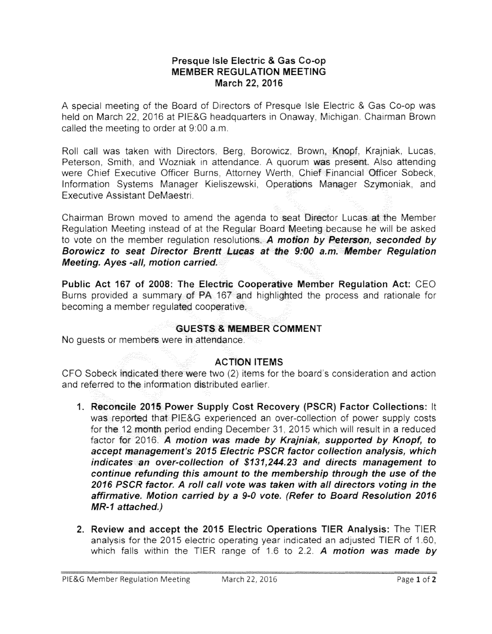## Presque Isle Electric & Gas Co-op **MEMBER REGULATION MEETING**  March 22, 2016

A special meeting of the Board of Directors of Presque Isle Electric & Gas Co-op was held on March 22, 2016 at PIE&G headquarters in Onaway, Michigan. Chairman Brown called the meeting to order at 9:00 a.m.

Roll call was taken with Directors, Berg, Borowicz, Brown, Knopf, Krajniak, Lucas, Peterson, Smith, and Wozniak in attendance. A guorum was present. Also attending were Chief Executive Officer Burns, Attorney Werth, Chief Einancial Officer Sobeck, Information Systems Manager Kieliszewski, Operations Manager Szymoniak, and Executive Assistant DeMaestri.

Chairman Brown moved to amend the agenda to seat Director Lucas at the Member Regulation Meeting instead of at the Regular Board Meeting because he will be asked to vote on the member regulation resolutions. A motion by Peterson, seconded by Borowicz to seat Director Brentt Lucas at the 9:00 a.m. Member Regulation Meeting. Ayes -all, motion carried.

Public Act 167 of 2008: The Electric Cooperative Member Regulation Act: CEO Burns provided a summary of PA 167 and highlighted the process and rationale for becoming a member requiated cooperative.

## GUESTS & MEMBER COMMENT

No guests or members were in attendance.

## ACTION ITEMS

CFO Sobeck indicated there were two (2) items for the board's consideration and action and referred to the information distributed earlier.

- 1. **Reconcile** 2015 Power Supply Cost Recovery (PSCR) Factor Collections: It was reported that PIE&G experienced an over-collection of power supply costs for the 12 month period ending December 31, 2015 which will result in a reduced factor for 2016. A motion was made by Krajniak, supported by Knopf, to accept management's 2015 Electric PSCR factor collection analysis, which indicates an over-collection of \$131,244.23 and directs management to continue refunding this amount to the membership through the use of the 2016 PSCR factor. A roll call vote was taken with all directors voting in the affirmative. Motion carried by a 9-0 vote. (Refer to Board Resolution 2016 MR-1 attached.)
- 2. Review and accept the 2015 Electric Operations TIER Analysis: The TIER analysis for the 2015 electric operating year indicated an adjusted TIER of 1.60, which falls within the TIER range of 1.6 to 2.2. A motion was made by